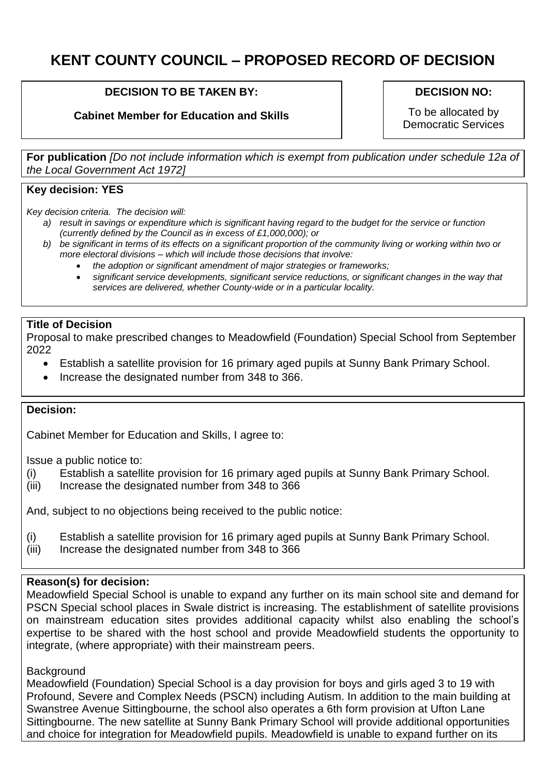# **KENT COUNTY COUNCIL – PROPOSED RECORD OF DECISION**

#### **DECISION TO BE TAKEN BY:**

## **Cabinet Member for Education and Skills**

#### **DECISION NO:**

To be allocated by Democratic Services

**For publication** *[Do not include information which is exempt from publication under schedule 12a of the Local Government Act 1972]*

#### **Key decision: YES**

*Key decision criteria. The decision will:*

- *a) result in savings or expenditure which is significant having regard to the budget for the service or function (currently defined by the Council as in excess of £1,000,000); or*
- *b) be significant in terms of its effects on a significant proportion of the community living or working within two or more electoral divisions – which will include those decisions that involve:*
	- *the adoption or significant amendment of major strategies or frameworks;*
	- *significant service developments, significant service reductions, or significant changes in the way that services are delivered, whether County-wide or in a particular locality.*

#### **Title of Decision**

Proposal to make prescribed changes to Meadowfield (Foundation) Special School from September 2022

- Establish a satellite provision for 16 primary aged pupils at Sunny Bank Primary School.
- Increase the designated number from 348 to 366.

#### **Decision:**

Cabinet Member for Education and Skills, I agree to:

Issue a public notice to:

- (i) Establish a satellite provision for 16 primary aged pupils at Sunny Bank Primary School.
- (iii) Increase the designated number from 348 to 366

And, subject to no objections being received to the public notice:

- (i) Establish a satellite provision for 16 primary aged pupils at Sunny Bank Primary School.
- (iii) Increase the designated number from 348 to 366

#### **Reason(s) for decision:**

Meadowfield Special School is unable to expand any further on its main school site and demand for PSCN Special school places in Swale district is increasing. The establishment of satellite provisions on mainstream education sites provides additional capacity whilst also enabling the school's expertise to be shared with the host school and provide Meadowfield students the opportunity to integrate, (where appropriate) with their mainstream peers.

#### **Background**

Meadowfield (Foundation) Special School is a day provision for boys and girls aged 3 to 19 with Profound, Severe and Complex Needs (PSCN) including Autism. In addition to the main building at Swanstree Avenue Sittingbourne, the school also operates a 6th form provision at Ufton Lane Sittingbourne. The new satellite at Sunny Bank Primary School will provide additional opportunities and choice for integration for Meadowfield pupils. Meadowfield is unable to expand further on its